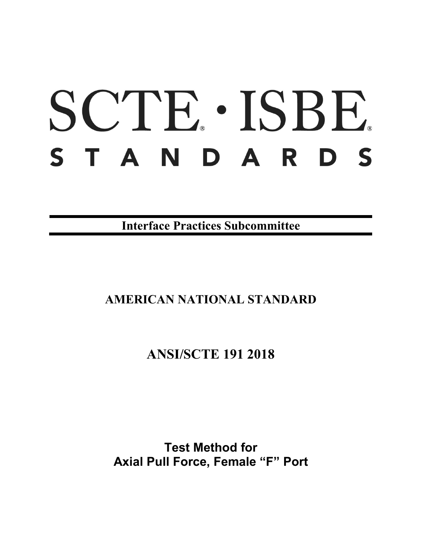# SCTE · ISBE. STANDARDS

**Interface Practices Subcommittee**

# **AMERICAN NATIONAL STANDARD**

# **ANSI/SCTE 191 2018**

**Test Method for Axial Pull Force, Female "F" Port**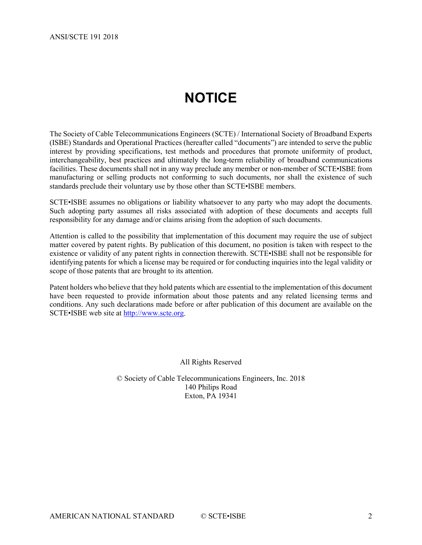# **NOTICE**

<span id="page-1-0"></span>The Society of Cable Telecommunications Engineers (SCTE) / International Society of Broadband Experts (ISBE) Standards and Operational Practices (hereafter called "documents") are intended to serve the public interest by providing specifications, test methods and procedures that promote uniformity of product, interchangeability, best practices and ultimately the long-term reliability of broadband communications facilities. These documents shall not in any way preclude any member or non-member of SCTE•ISBE from manufacturing or selling products not conforming to such documents, nor shall the existence of such standards preclude their voluntary use by those other than SCTE•ISBE members.

SCTE•ISBE assumes no obligations or liability whatsoever to any party who may adopt the documents. Such adopting party assumes all risks associated with adoption of these documents and accepts full responsibility for any damage and/or claims arising from the adoption of such documents.

Attention is called to the possibility that implementation of this document may require the use of subject matter covered by patent rights. By publication of this document, no position is taken with respect to the existence or validity of any patent rights in connection therewith. SCTE•ISBE shall not be responsible for identifying patents for which a license may be required or for conducting inquiries into the legal validity or scope of those patents that are brought to its attention.

Patent holders who believe that they hold patents which are essential to the implementation of this document have been requested to provide information about those patents and any related licensing terms and conditions. Any such declarations made before or after publication of this document are available on the SCTE•ISBE web site at [http://www.scte.org.](http://www.scte.org/)

All Rights Reserved

© Society of Cable Telecommunications Engineers, Inc. 2018 140 Philips Road Exton, PA 19341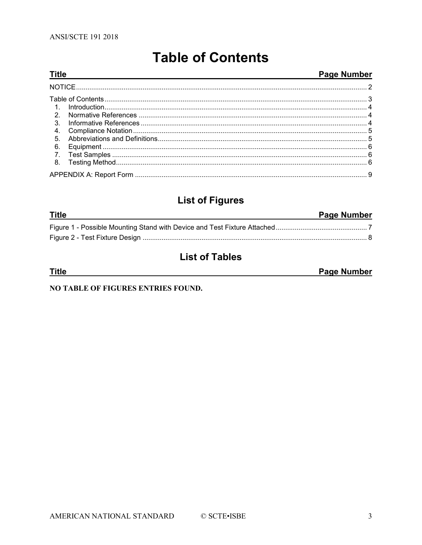<span id="page-2-0"></span>**Title** 

# **Table of Contents**

<u> 1980 - Johann Barbara, martxa alemaniar amerikan a</u>

#### Page Number

| 2.               |  |  |  |  |  |
|------------------|--|--|--|--|--|
| 3 <sub>1</sub>   |  |  |  |  |  |
| 4.               |  |  |  |  |  |
| 5 <sub>1</sub>   |  |  |  |  |  |
| 6.               |  |  |  |  |  |
| $\overline{7}$ . |  |  |  |  |  |
|                  |  |  |  |  |  |
|                  |  |  |  |  |  |

# **List of Figures**

| <b>Title</b> | Page Number |
|--------------|-------------|
|              |             |
|              |             |

# **List of Tables**

**Title** 

Page Number

NO TABLE OF FIGURES ENTRIES FOUND.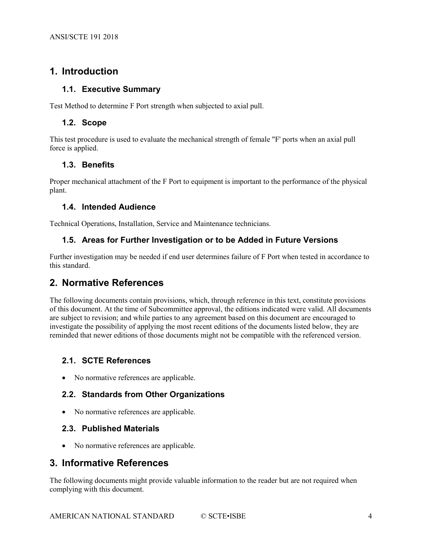## <span id="page-3-0"></span>**1. Introduction**

#### **1.1. Executive Summary**

Test Method to determine F Port strength when subjected to axial pull.

#### **1.2. Scope**

This test procedure is used to evaluate the mechanical strength of female "F' ports when an axial pull force is applied.

#### **1.3. Benefits**

Proper mechanical attachment of the F Port to equipment is important to the performance of the physical plant.

#### **1.4. Intended Audience**

Technical Operations, Installation, Service and Maintenance technicians.

#### **1.5. Areas for Further Investigation or to be Added in Future Versions**

Further investigation may be needed if end user determines failure of F Port when tested in accordance to this standard.

#### <span id="page-3-1"></span>**2. Normative References**

The following documents contain provisions, which, through reference in this text, constitute provisions of this document. At the time of Subcommittee approval, the editions indicated were valid. All documents are subject to revision; and while parties to any agreement based on this document are encouraged to investigate the possibility of applying the most recent editions of the documents listed below, they are reminded that newer editions of those documents might not be compatible with the referenced version.

#### **2.1. SCTE References**

• No normative references are applicable.

#### **2.2. Standards from Other Organizations**

• No normative references are applicable.

#### **2.3. Published Materials**

• No normative references are applicable.

## <span id="page-3-2"></span>**3. Informative References**

The following documents might provide valuable information to the reader but are not required when complying with this document.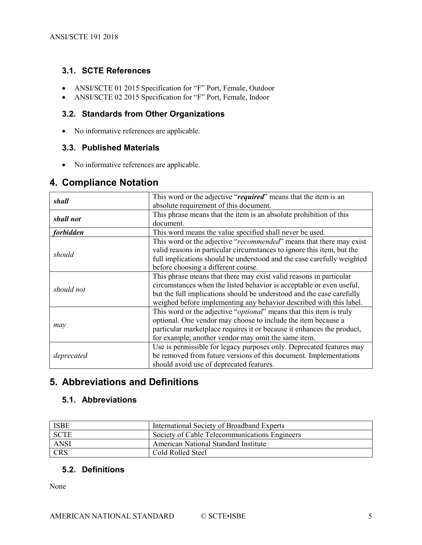#### **3.1. SCTE References**

- ANSI/SCTE 01 2015 Specification for "F" Port, Female, Outdoor
- ANSI/SCTE 02 2015 Specification for "F" Port, Female, Indoor

#### **3.2. Standards from Other Organizations**

• No informative references are applicable.

#### **3.3. Published Materials**

• No informative references are applicable.

#### <span id="page-4-0"></span>**4. Compliance Notation**

| shall      | This word or the adjective "required" means that the item is an              |
|------------|------------------------------------------------------------------------------|
|            | absolute requirement of this document.                                       |
| shall not  | This phrase means that the item is an absolute prohibition of this           |
|            | document.                                                                    |
| forbidden  | This word means the value specified shall never be used.                     |
|            | This word or the adjective "recommended" means that there may exist          |
|            | valid reasons in particular circumstances to ignore this item, but the       |
| should     | full implications should be understood and the case carefully weighted       |
|            | before choosing a different course.                                          |
|            | This phrase means that there may exist valid reasons in particular           |
|            | circumstances when the listed behavior is acceptable or even useful,         |
| should not | but the full implications should be understood and the case carefully        |
|            | weighed before implementing any behavior described with this label.          |
|            | This word or the adjective " <i>optional</i> " means that this item is truly |
|            | optional. One vendor may choose to include the item because a                |
| may        | particular marketplace requires it or because it enhances the product,       |
|            | for example; another vendor may omit the same item.                          |
|            | Use is permissible for legacy purposes only. Deprecated features may         |
| deprecated | be removed from future versions of this document. Implementations            |
|            | should avoid use of deprecated features.                                     |

## <span id="page-4-1"></span>**5. Abbreviations and Definitions**

#### **5.1. Abbreviations**

| <b>ISBE</b> | International Society of Broadband Experts    |
|-------------|-----------------------------------------------|
| <b>SCTE</b> | Society of Cable Telecommunications Engineers |
| <b>ANSI</b> | <b>American National Standard Institute</b>   |
| <b>CRS</b>  | Cold Rolled Steel                             |

#### **5.2. Definitions**

None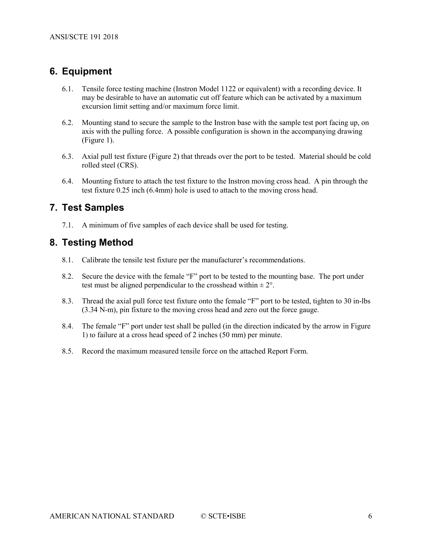## <span id="page-5-0"></span>**6. Equipment**

- 6.1. Tensile force testing machine (Instron Model 1122 or equivalent) with a recording device. It may be desirable to have an automatic cut off feature which can be activated by a maximum excursion limit setting and/or maximum force limit.
- 6.2. Mounting stand to secure the sample to the Instron base with the sample test port facing up, on axis with the pulling force. A possible configuration is shown in the accompanying drawing (Figure 1).
- 6.3. Axial pull test fixture (Figure 2) that threads over the port to be tested. Material should be cold rolled steel (CRS).
- 6.4. Mounting fixture to attach the test fixture to the Instron moving cross head. A pin through the test fixture 0.25 inch (6.4mm) hole is used to attach to the moving cross head.

### <span id="page-5-1"></span>**7. Test Samples**

7.1. A minimum of five samples of each device shall be used for testing.

#### <span id="page-5-2"></span>**8. Testing Method**

- 8.1. Calibrate the tensile test fixture per the manufacturer's recommendations.
- 8.2. Secure the device with the female "F" port to be tested to the mounting base. The port under test must be aligned perpendicular to the crosshead within  $\pm 2^{\circ}$ .
- 8.3. Thread the axial pull force test fixture onto the female "F" port to be tested, tighten to 30 in-lbs (3.34 N-m), pin fixture to the moving cross head and zero out the force gauge.
- 8.4. The female "F" port under test shall be pulled (in the direction indicated by the arrow in [Figure](#page-6-0)  [1\)](#page-6-0) to failure at a cross head speed of 2 inches (50 mm) per minute.
- 8.5. Record the maximum measured tensile force on the attached Report Form.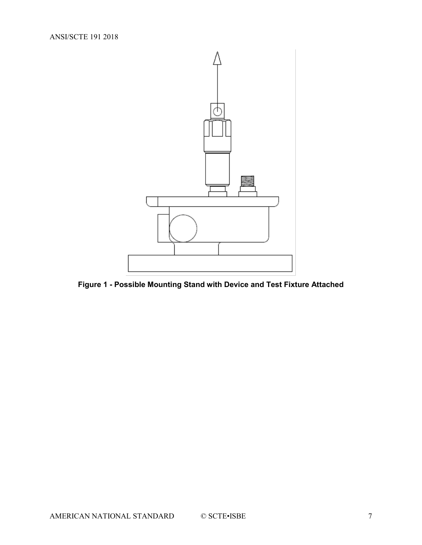

<span id="page-6-0"></span>**Figure 1 - Possible Mounting Stand with Device and Test Fixture Attached**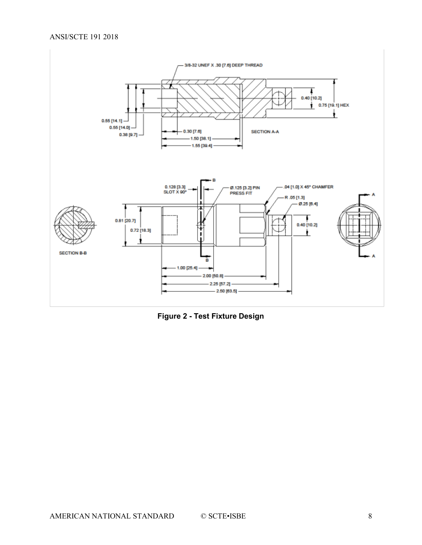

<span id="page-7-0"></span>**Figure 2 - Test Fixture Design**